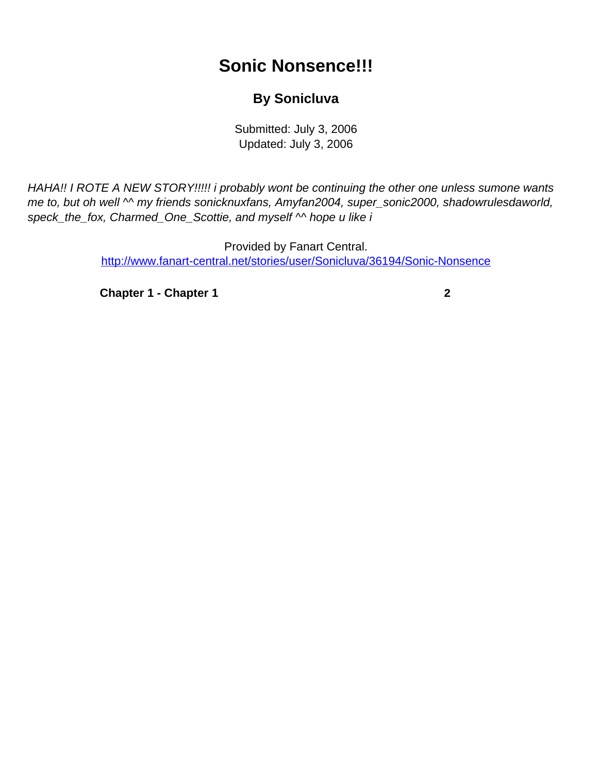## **Sonic Nonsence!!!**

## **By Sonicluva**

Submitted: July 3, 2006 Updated: July 3, 2006

<span id="page-0-0"></span>HAHA!! I ROTE A NEW STORY!!!!! i probably wont be continuing the other one unless sumone wants me to, but oh well  $\sim$  my friends sonicknuxfans, Amyfan2004, super\_sonic2000, shadowrulesdaworld, speck\_the\_fox, Charmed\_One\_Scottie, and myself  $\sim$  hope u like i

> Provided by Fanart Central. [http://www.fanart-central.net/stories/user/Sonicluva/36194/Sonic-Nonsence](#page-0-0)

**[Chapter 1 - Chapter 1](#page-1-0) [2](#page-1-0)**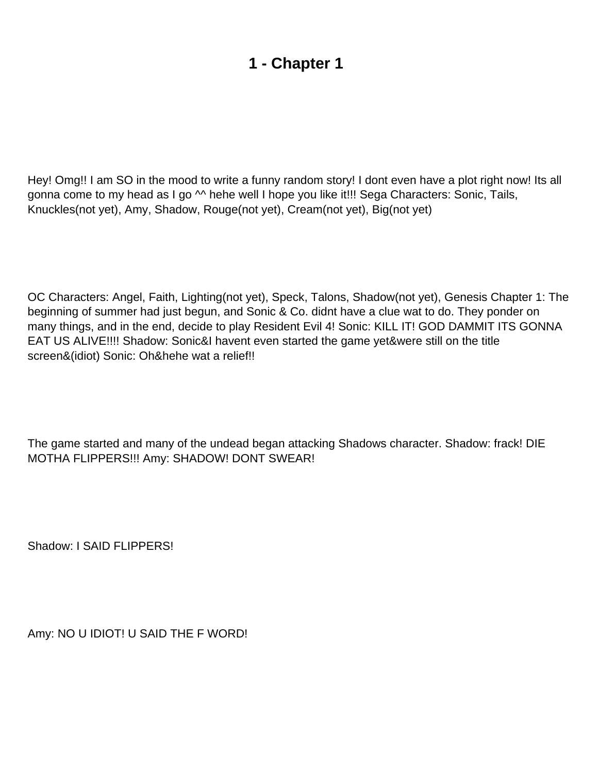## **1 - Chapter 1**

<span id="page-1-0"></span>Hey! Omg!! I am SO in the mood to write a funny random story! I don t even have a plot right now! It s all gonna come to my head as I go  $\sim$  hehe well I hope you like it!!! Sega Characters: Sonic, Tails, Knuckles(not yet), Amy, Shadow, Rouge(not yet), Cream(not yet), Big(not yet)

OC Characters: Angel, Faith, Lighting(not yet), Speck, Talons, Shadow(not yet), Genesis Chapter 1: The beginning of summer had just begun, and Sonic & Co. didn t have a clue wat to do. They ponder on many things, and in the end, decide to play Resident Evil 4! Sonic: KILL IT! GOD DAMMIT IT S GONNA EAT US ALIVE!!!! Shadow: Sonic&I haven t even started the game yet&we re still on the title screen&(idiot) Sonic: Oh&hehe wat a relief!!

The game started and many of the undead began attacking Shadow s character. Shadow: frack! DIE MOTHA FLIPPERS!!! Amy: SHADOW! DONT SWEAR!

Shadow: I SAID FLIPPERS!

Amy: NO U IDIOT! U SAID THE F WORD!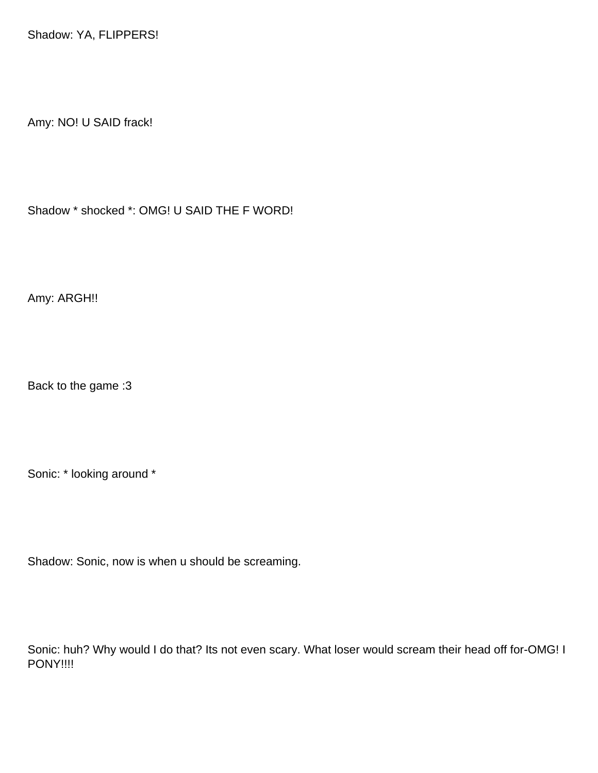Shadow: YA, FLIPPERS!

Amy: NO! U SAID frack !

Shadow \* shocked \*: OMG! U SAID THE F WORD!

Amy: ARGH!!

Back to the game :3

Sonic: \* looking around \*

Shadow: Sonic, now is when u should be screaming.

Sonic: huh? Why would I do that? Its not even scary. What loser would scream their head off for-OMG! I PONY!!!!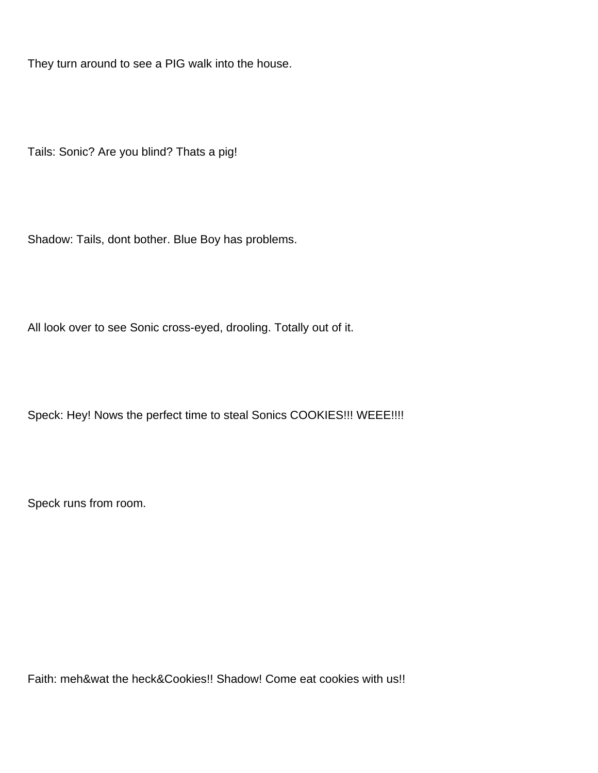They turn around to see a PIG walk into the house.

Tails: Sonic? Are you blind? That s a pig!

Shadow: Tails, don t bother. Blue Boy has problems.

All look over to see Sonic cross-eyed, drooling. Totally out of it.

Speck: Hey! Now s the perfect time to steal Sonic s COOKIES!!! WEEE!!!!

Speck runs from room.

Faith: meh&wat the heck&Cookies!! Shadow! Come eat cookies with us!!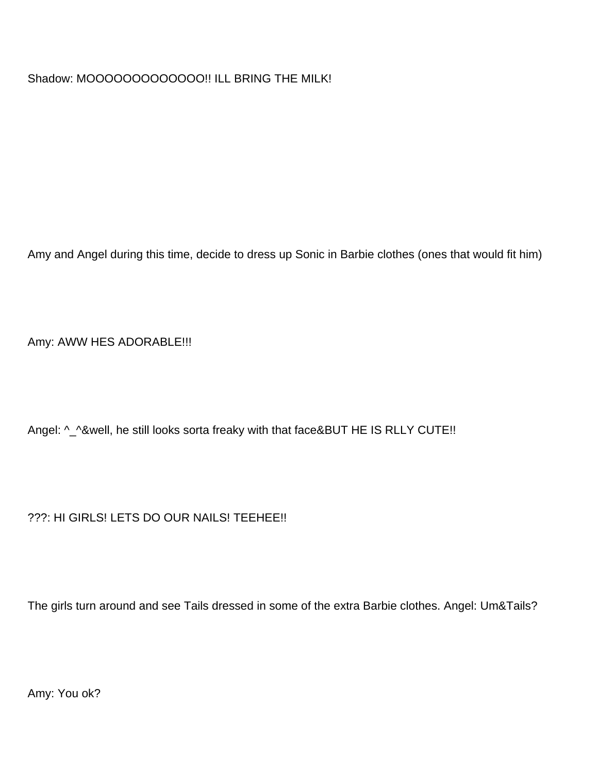Shadow: MOOOOOOOOOOOOO!! ILL BRING THE MILK!

Amy and Angel during this time, decide to dress up Sonic in Barbie clothes (ones that would fit him)

Amy: AWW HES ADORABLE!!!

Angel: ^\_^&well, he still looks sorta freaky with that face&BUT HE IS RLLY CUTE!!

???: HI GIRLS! LETS DO OUR NAILS! TEEHEE!!

The girls turn around and see Tails dressed in some of the extra Barbie clothes. Angel: Um&Tails?

Amy: You ok?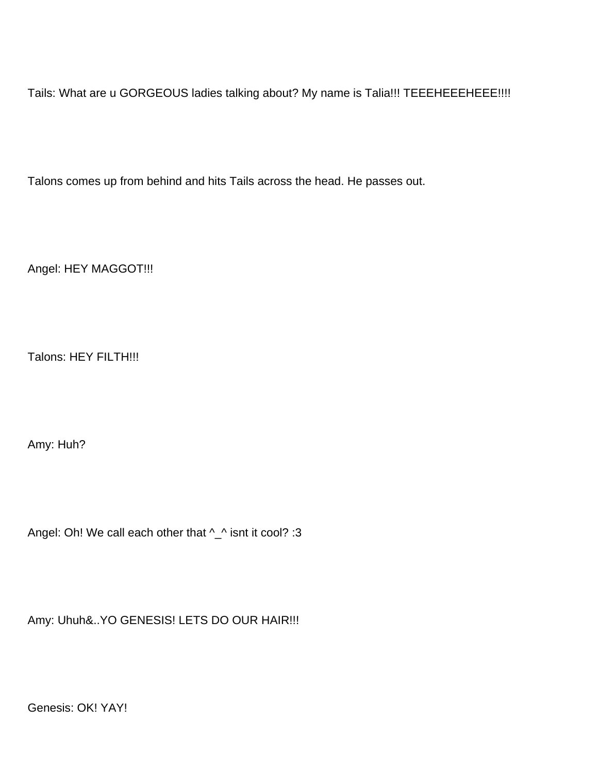Tails: What are u GORGEOUS ladies talking about? My name is Talia!!! TEEEHEEEHEEE!!!!

Talons comes up from behind and hits Tails across the head. He passes out.

Angel: HEY MAGGOT!!!

Talons: HEY FILTH!!!

Amy: Huh?

Angel: Oh! We call each other that ^\_^ isn t it cool? :3

Amy: Uhuh&..YO GENESIS! LETS DO OUR HAIR!!!

Genesis: OK! YAY!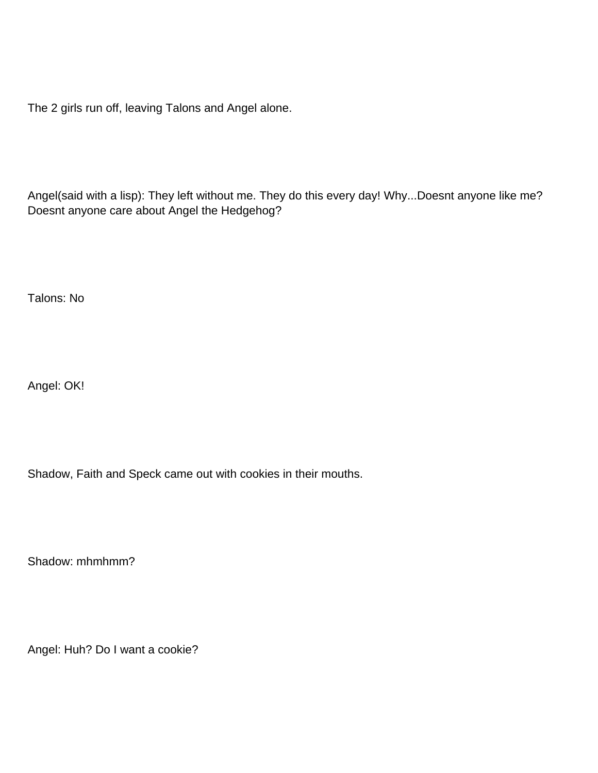The 2 girls run off, leaving Talons and Angel alone.

Angel(said with a lisp): They left without me. They do this every day! Why...Doesnt anyone like me? Doesn t anyone care about Angel the Hedgehog?

Talons: No

Angel: OK!

Shadow, Faith and Speck came out with cookies in their mouths.

Shadow: mhmhmm?

Angel: Huh? Do I want a cookie?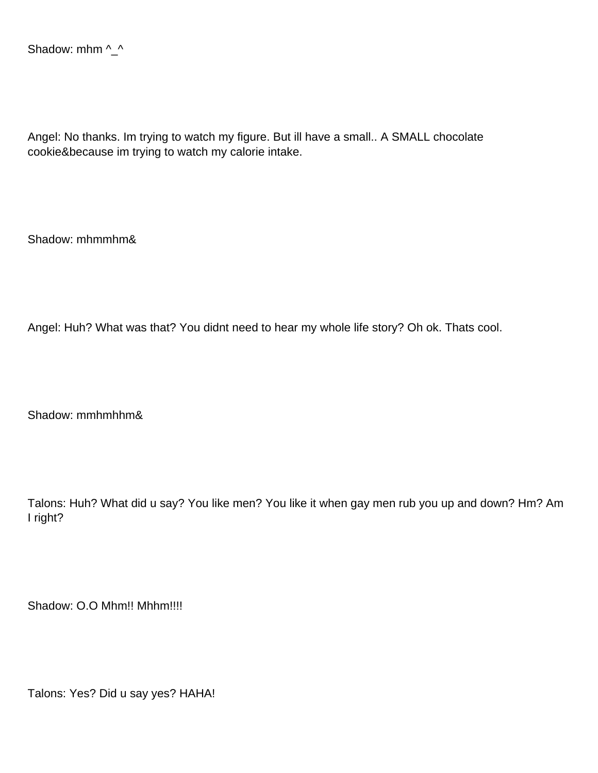Angel: No thanks. Im trying to watch my figure. But ill have a small.. A SMALL chocolate cookie&because im trying to watch my calorie intake.

Shadow: mhmmhm&

Angel: Huh? What was that? You didn t need to hear my whole life story? Oh ok. That s cool.

Shadow: mmhmhhm&

Talons: Huh? What did u say? You like men? You like it when gay men rub you up and down? Hm? Am I right?

Shadow: O.O Mhm!! Mhhm!!!!

Talons: Yes? Did u say yes? HAHA!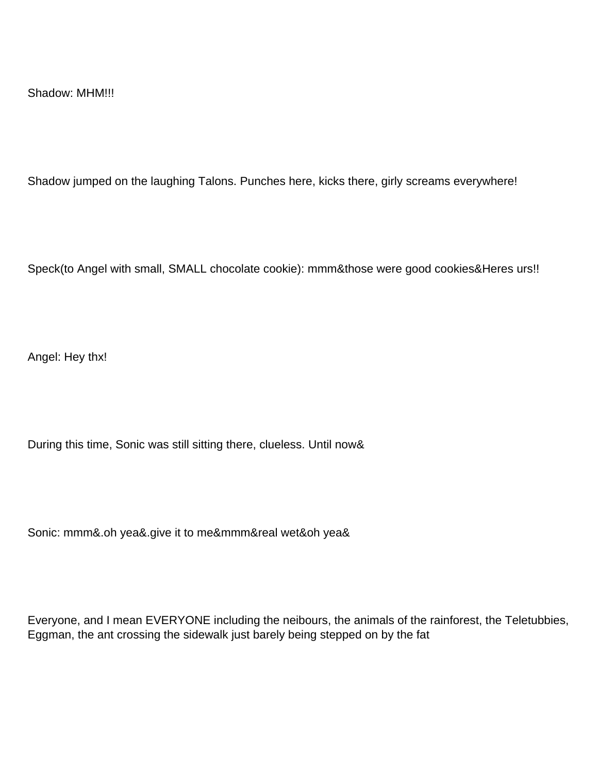Shadow jumped on the laughing Talons. Punches here, kicks there, girly screams everywhere!

Speck(to Angel with small, SMALL chocolate cookie): mmm&those were good cookies&Here s urs!!

Angel: Hey thx!

During this time, Sonic was still sitting there, clueless. Until now&

Sonic: mmm&.oh yea&.give it to me&mmm&real wet&oh yea&

Everyone, and I mean EVERYONE including the neibours, the animals of the rainforest, the Teletubbies, Eggman, the ant crossing the sidewalk just barely being stepped on by the fat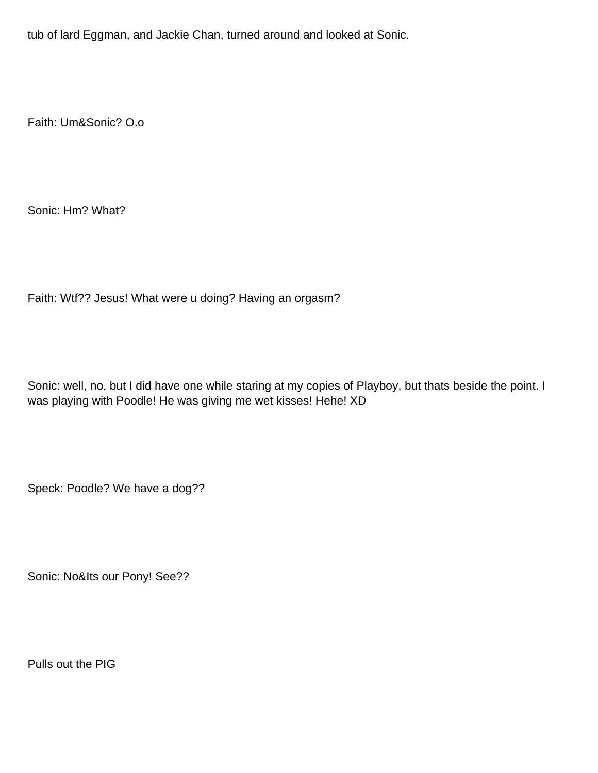tub of lard Eggman, and Jackie Chan, turned around and looked at Sonic.

Faith: Um&Sonic? O.o

Sonic: Hm? What?

Faith: Wtf?? Jesus! What were u doing? Having an orgasm?

Sonic: well, no, but I did have one while staring at my copies of Playboy, but that s beside the point. I was playing with Poodle! He was giving me wet kisses! Hehe! XD

Speck: Poodle? We have a dog??

Sonic: No&It s our Pony! See??

Pulls out the PIG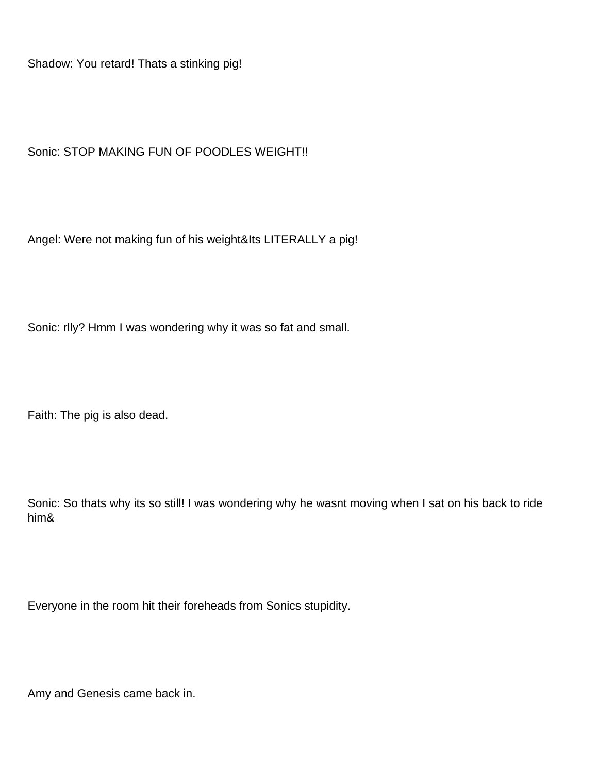Shadow: You retard! That s a stinking pig!

Sonic: STOP MAKING FUN OF POODLES WEIGHT!!

Angel: We re not making fun of his weight&It s LITERALLY a pig!

Sonic: rlly? Hmm I was wondering why it was so fat and small.

Faith: The pig is also dead.

Sonic: So that s why its so still! I was wondering why he wasn t moving when I sat on his back to ride him&

Everyone in the room hit their foreheads from Sonic s stupidity.

Amy and Genesis came back in.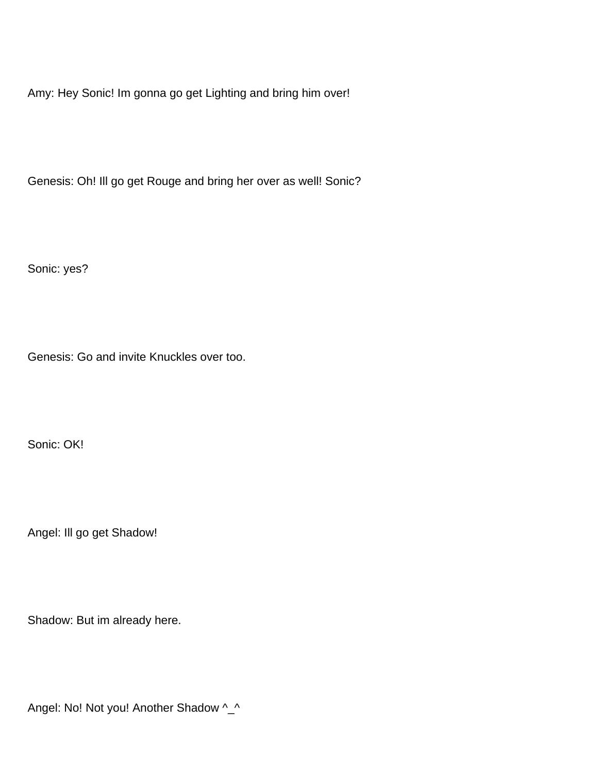Amy: Hey Sonic! Im gonna go get Lighting and bring him over!

Genesis: Oh! Ill go get Rouge and bring her over as well! Sonic?

Sonic: yes?

Genesis: Go and invite Knuckles over too.

Sonic: OK!

Angel: Ill go get Shadow!

Shadow: But im already here.

Angel: No! Not you! Another Shadow ^\_^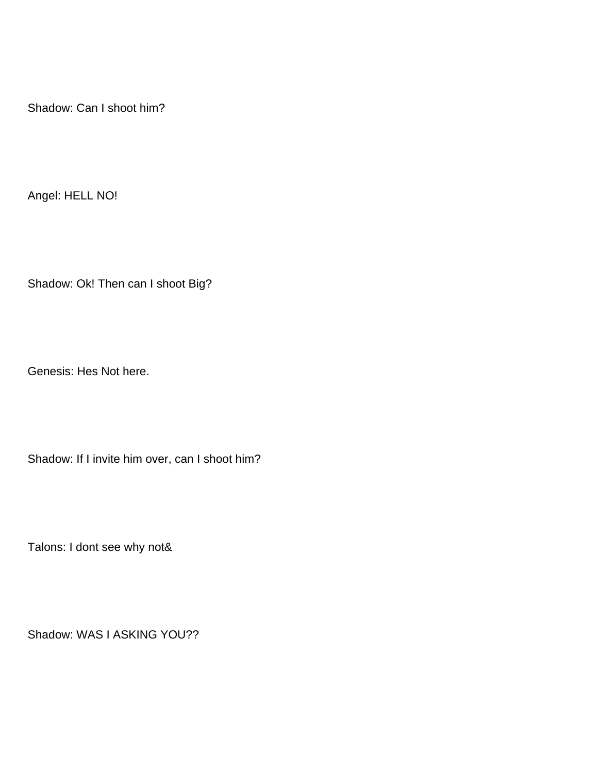Shadow: Can I shoot him?

Angel: HELL NO!

Shadow: Ok! Then can I shoot Big?

Genesis: He s Not here.

Shadow: If I invite him over, can I shoot him?

Talons: I don t see why not&

Shadow: WAS I ASKING YOU??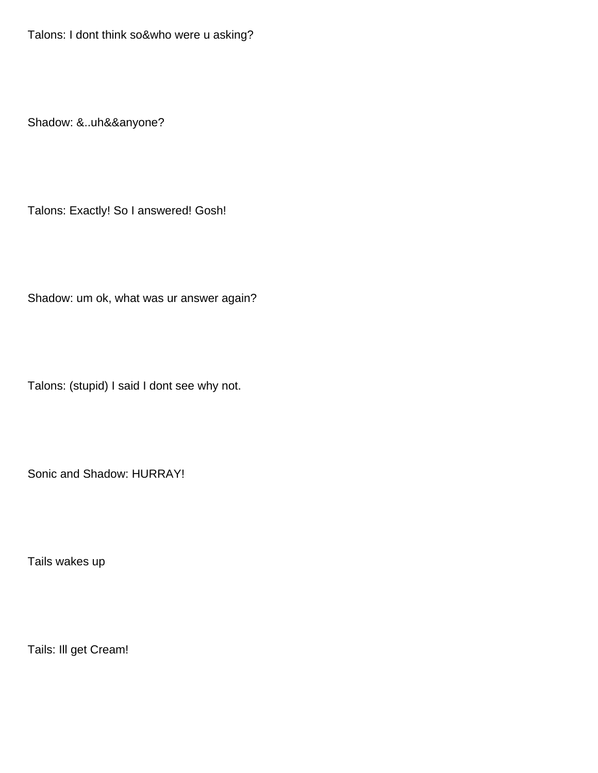Talons: I don t think so&who were u asking?

Shadow: &..uh&&anyone?

Talons: Exactly! So I answered! Gosh!

Shadow: um ok, what was ur answer again?

Talons: (stupid) I said I don t see why not.

Sonic and Shadow: HURRAY!

Tails wakes up

Tails: Ill get Cream!